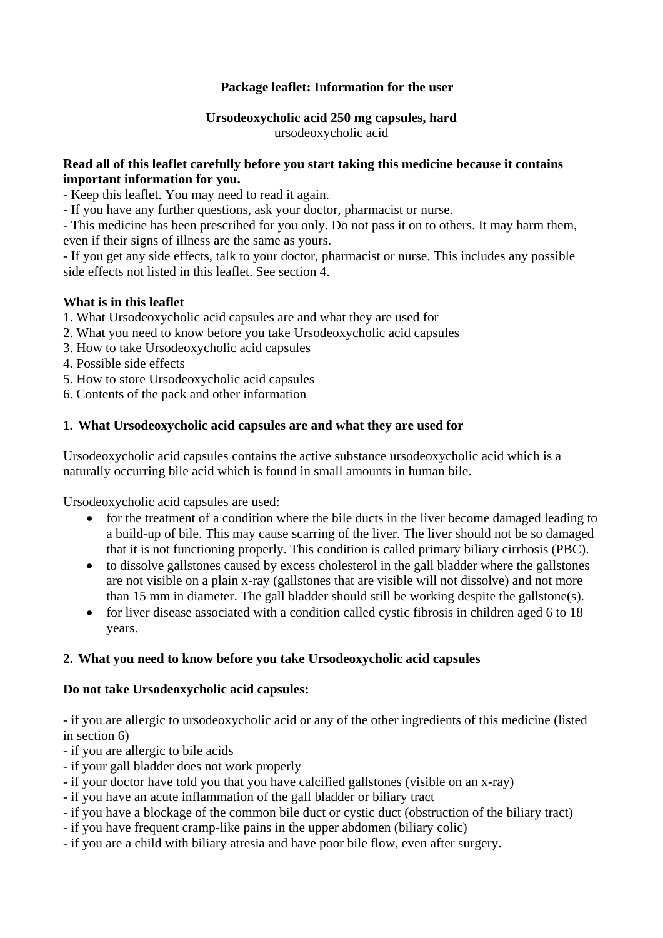# **Package leaflet: Information for the user**

# **Ursodeoxycholic acid 250 mg capsules, hard**

ursodeoxycholic acid

# **Read all of this leaflet carefully before you start taking this medicine because it contains important information for you.**

- Keep this leaflet. You may need to read it again.

- If you have any further questions, ask your doctor, pharmacist or nurse.

- This medicine has been prescribed for you only. Do not pass it on to others. It may harm them, even if their signs of illness are the same as yours.

- If you get any side effects, talk to your doctor, pharmacist or nurse. This includes any possible side effects not listed in this leaflet. See section 4.

# **What is in this leaflet**

- 1. What Ursodeoxycholic acid capsules are and what they are used for
- 2. What you need to know before you take Ursodeoxycholic acid capsules
- 3. How to take Ursodeoxycholic acid capsules
- 4. Possible side effects
- 5. How to store Ursodeoxycholic acid capsules
- 6. Contents of the pack and other information

# **1. What Ursodeoxycholic acid capsules are and what they are used for**

Ursodeoxycholic acid capsules contains the active substance ursodeoxycholic acid which is a naturally occurring bile acid which is found in small amounts in human bile.

Ursodeoxycholic acid capsules are used:

- for the treatment of a condition where the bile ducts in the liver become damaged leading to a build-up of bile. This may cause scarring of the liver. The liver should not be so damaged that it is not functioning properly. This condition is called primary biliary cirrhosis (PBC).
- to dissolve gallstones caused by excess cholesterol in the gall bladder where the gallstones are not visible on a plain x-ray (gallstones that are visible will not dissolve) and not more than 15 mm in diameter. The gall bladder should still be working despite the gallstone(s).
- for liver disease associated with a condition called cystic fibrosis in children aged 6 to 18 years.

# **2. What you need to know before you take Ursodeoxycholic acid capsules**

# **Do not take Ursodeoxycholic acid capsules:**

- if you are allergic to ursodeoxycholic acid or any of the other ingredients of this medicine (listed in section 6)

- if you are allergic to bile acids
- if your gall bladder does not work properly
- if your doctor have told you that you have calcified gallstones (visible on an x-ray)
- if you have an acute inflammation of the gall bladder or biliary tract
- if you have a blockage of the common bile duct or cystic duct (obstruction of the biliary tract)
- if you have frequent cramp-like pains in the upper abdomen (biliary colic)
- if you are a child with biliary atresia and have poor bile flow, even after surgery.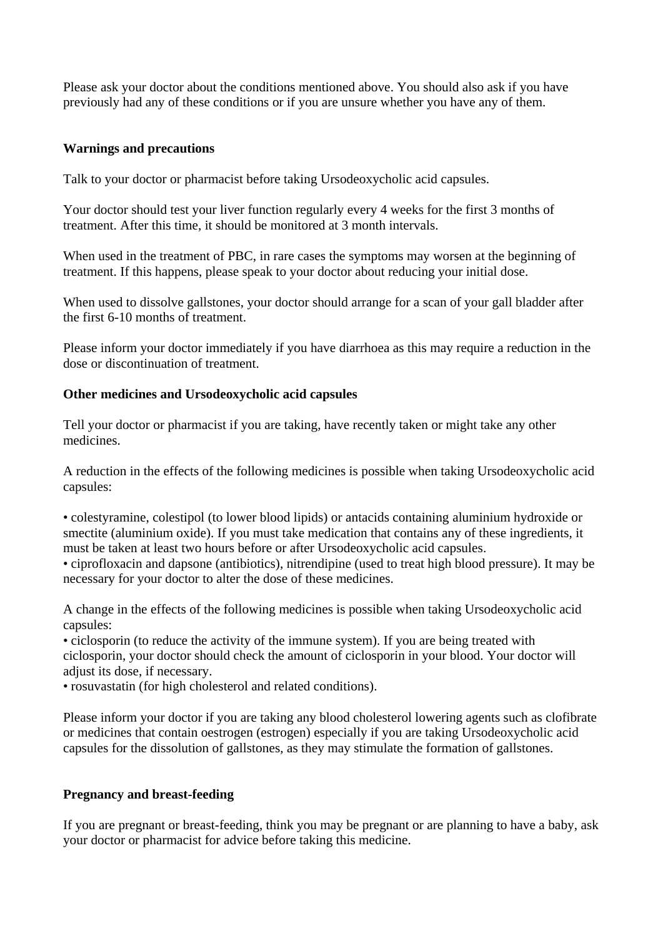Please ask your doctor about the conditions mentioned above. You should also ask if you have previously had any of these conditions or if you are unsure whether you have any of them.

# **Warnings and precautions**

Talk to your doctor or pharmacist before taking Ursodeoxycholic acid capsules.

Your doctor should test your liver function regularly every 4 weeks for the first 3 months of treatment. After this time, it should be monitored at 3 month intervals.

When used in the treatment of PBC, in rare cases the symptoms may worsen at the beginning of treatment. If this happens, please speak to your doctor about reducing your initial dose.

When used to dissolve gallstones, your doctor should arrange for a scan of your gall bladder after the first 6-10 months of treatment.

Please inform your doctor immediately if you have diarrhoea as this may require a reduction in the dose or discontinuation of treatment.

## **Other medicines and Ursodeoxycholic acid capsules**

Tell your doctor or pharmacist if you are taking, have recently taken or might take any other medicines.

A reduction in the effects of the following medicines is possible when taking Ursodeoxycholic acid capsules:

• colestyramine, colestipol (to lower blood lipids) or antacids containing aluminium hydroxide or smectite (aluminium oxide). If you must take medication that contains any of these ingredients, it must be taken at least two hours before or after Ursodeoxycholic acid capsules.

• ciprofloxacin and dapsone (antibiotics), nitrendipine (used to treat high blood pressure). It may be necessary for your doctor to alter the dose of these medicines.

A change in the effects of the following medicines is possible when taking Ursodeoxycholic acid capsules:

• ciclosporin (to reduce the activity of the immune system). If you are being treated with ciclosporin, your doctor should check the amount of ciclosporin in your blood. Your doctor will adjust its dose, if necessary.

• rosuvastatin (for high cholesterol and related conditions).

Please inform your doctor if you are taking any blood cholesterol lowering agents such as clofibrate or medicines that contain oestrogen (estrogen) especially if you are taking Ursodeoxycholic acid capsules for the dissolution of gallstones, as they may stimulate the formation of gallstones.

# **Pregnancy and breast-feeding**

If you are pregnant or breast-feeding, think you may be pregnant or are planning to have a baby, ask your doctor or pharmacist for advice before taking this medicine.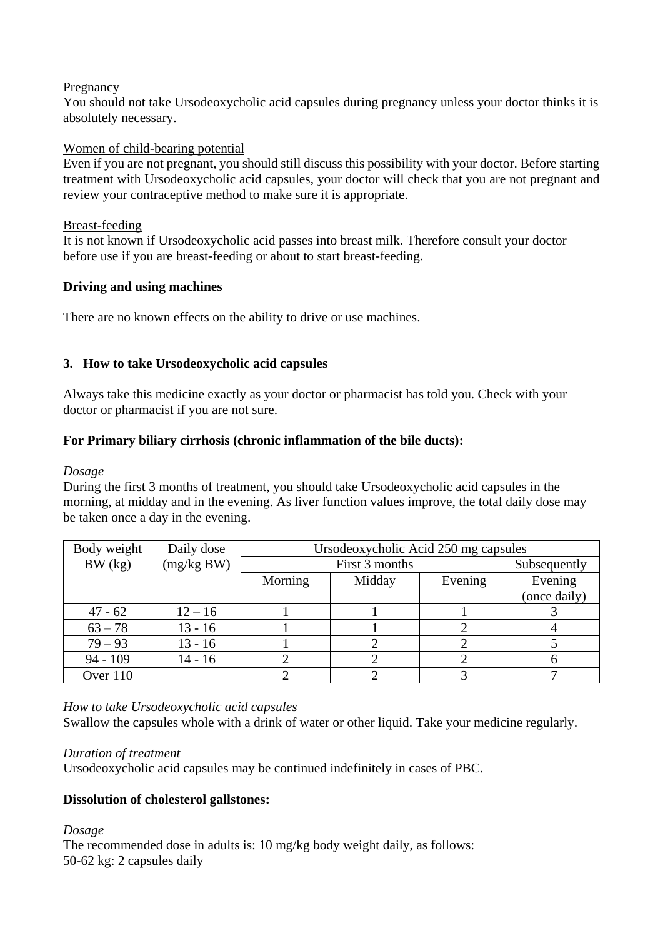## Pregnancy

You should not take Ursodeoxycholic acid capsules during pregnancy unless your doctor thinks it is absolutely necessary.

## Women of child-bearing potential

Even if you are not pregnant, you should still discuss this possibility with your doctor. Before starting treatment with Ursodeoxycholic acid capsules, your doctor will check that you are not pregnant and review your contraceptive method to make sure it is appropriate.

### Breast-feeding

It is not known if Ursodeoxycholic acid passes into breast milk. Therefore consult your doctor before use if you are breast-feeding or about to start breast-feeding.

# **Driving and using machines**

There are no known effects on the ability to drive or use machines.

# **3. How to take Ursodeoxycholic acid capsules**

Always take this medicine exactly as your doctor or pharmacist has told you. Check with your doctor or pharmacist if you are not sure.

# **For Primary biliary cirrhosis (chronic inflammation of the bile ducts):**

### *Dosage*

During the first 3 months of treatment, you should take Ursodeoxycholic acid capsules in the morning, at midday and in the evening. As liver function values improve, the total daily dose may be taken once a day in the evening.

| Body weight | Daily dose | Ursodeoxycholic Acid 250 mg capsules |              |         |                         |  |  |
|-------------|------------|--------------------------------------|--------------|---------|-------------------------|--|--|
| BW (kg)     | (mg/kg BW) |                                      | Subsequently |         |                         |  |  |
|             |            | Morning                              | Midday       | Evening | Evening<br>(once daily) |  |  |
| $47 - 62$   | $12 - 16$  |                                      |              |         |                         |  |  |
| $63 - 78$   | $13 - 16$  |                                      |              |         |                         |  |  |
| $79 - 93$   | $13 - 16$  |                                      |              |         |                         |  |  |
| $94 - 109$  | $14 - 16$  |                                      |              |         |                         |  |  |
| Over 110    |            |                                      |              |         |                         |  |  |

*How to take Ursodeoxycholic acid capsules*

Swallow the capsules whole with a drink of water or other liquid. Take your medicine regularly.

#### *Duration of treatment*

Ursodeoxycholic acid capsules may be continued indefinitely in cases of PBC.

# **Dissolution of cholesterol gallstones:**

*Dosage* The recommended dose in adults is: 10 mg/kg body weight daily, as follows: 50-62 kg: 2 capsules daily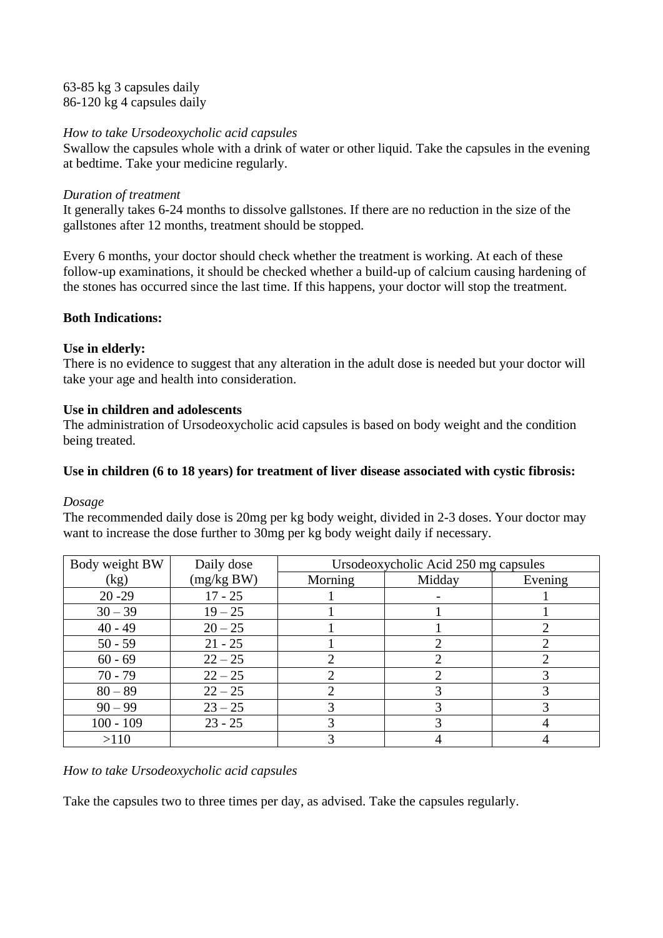63-85 kg 3 capsules daily 86-120 kg 4 capsules daily

## *How to take Ursodeoxycholic acid capsules*

Swallow the capsules whole with a drink of water or other liquid. Take the capsules in the evening at bedtime. Take your medicine regularly.

### *Duration of treatment*

It generally takes 6-24 months to dissolve gallstones. If there are no reduction in the size of the gallstones after 12 months, treatment should be stopped.

Every 6 months, your doctor should check whether the treatment is working. At each of these follow-up examinations, it should be checked whether a build-up of calcium causing hardening of the stones has occurred since the last time. If this happens, your doctor will stop the treatment.

## **Both Indications:**

## **Use in elderly:**

There is no evidence to suggest that any alteration in the adult dose is needed but your doctor will take your age and health into consideration.

## **Use in children and adolescents**

The administration of Ursodeoxycholic acid capsules is based on body weight and the condition being treated.

# **Use in children (6 to 18 years) for treatment of liver disease associated with cystic fibrosis:**

#### *Dosage*

The recommended daily dose is 20mg per kg body weight, divided in 2-3 doses. Your doctor may want to increase the dose further to 30mg per kg body weight daily if necessary.

| Body weight BW | Daily dose | Ursodeoxycholic Acid 250 mg capsules |        |         |  |  |
|----------------|------------|--------------------------------------|--------|---------|--|--|
| (kg)           | (mg/kg BW) | Morning                              | Midday | Evening |  |  |
| $20 - 29$      | $17 - 25$  |                                      |        |         |  |  |
| $30 - 39$      | $19 - 25$  |                                      |        |         |  |  |
| $40 - 49$      | $20 - 25$  |                                      |        |         |  |  |
| $50 - 59$      | $21 - 25$  |                                      | ာ      |         |  |  |
| $60 - 69$      | $22 - 25$  |                                      |        |         |  |  |
| $70 - 79$      | $22 - 25$  |                                      |        |         |  |  |
| $80 - 89$      | $22 - 25$  |                                      |        |         |  |  |
| $90 - 99$      | $23 - 25$  |                                      |        |         |  |  |
| $100 - 109$    | $23 - 25$  |                                      |        |         |  |  |
| >110           |            |                                      |        |         |  |  |

# *How to take Ursodeoxycholic acid capsules*

Take the capsules two to three times per day, as advised. Take the capsules regularly.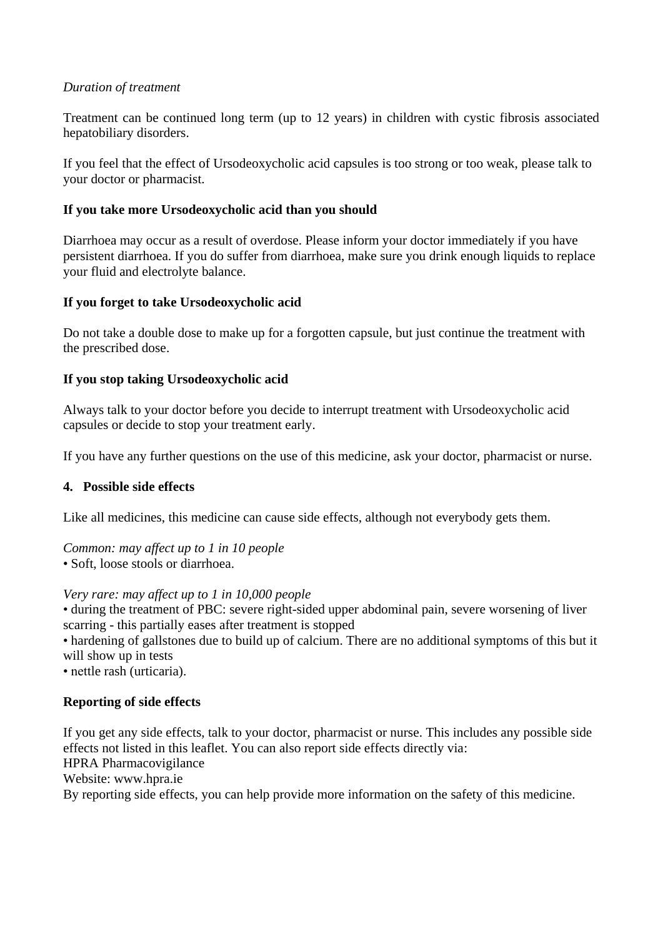## *Duration of treatment*

Treatment can be continued long term (up to 12 years) in children with cystic fibrosis associated hepatobiliary disorders.

If you feel that the effect of Ursodeoxycholic acid capsules is too strong or too weak, please talk to your doctor or pharmacist.

# **If you take more Ursodeoxycholic acid than you should**

Diarrhoea may occur as a result of overdose. Please inform your doctor immediately if you have persistent diarrhoea. If you do suffer from diarrhoea, make sure you drink enough liquids to replace your fluid and electrolyte balance.

## **If you forget to take Ursodeoxycholic acid**

Do not take a double dose to make up for a forgotten capsule, but just continue the treatment with the prescribed dose.

## **If you stop taking Ursodeoxycholic acid**

Always talk to your doctor before you decide to interrupt treatment with Ursodeoxycholic acid capsules or decide to stop your treatment early.

If you have any further questions on the use of this medicine, ask your doctor, pharmacist or nurse.

#### **4. Possible side effects**

Like all medicines, this medicine can cause side effects, although not everybody gets them.

*Common: may affect up to 1 in 10 people* 

• Soft, loose stools or diarrhoea.

*Very rare: may affect up to 1 in 10,000 people* 

• during the treatment of PBC: severe right-sided upper abdominal pain, severe worsening of liver scarring - this partially eases after treatment is stopped

• hardening of gallstones due to build up of calcium. There are no additional symptoms of this but it will show up in tests

• nettle rash (urticaria).

# **Reporting of side effects**

If you get any side effects, talk to your doctor, pharmacist or nurse. This includes any possible side effects not listed in this leaflet. You can also report side effects directly via: HPRA Pharmacovigilance Website: www.hpra.ie By reporting side effects, you can help provide more information on the safety of this medicine.